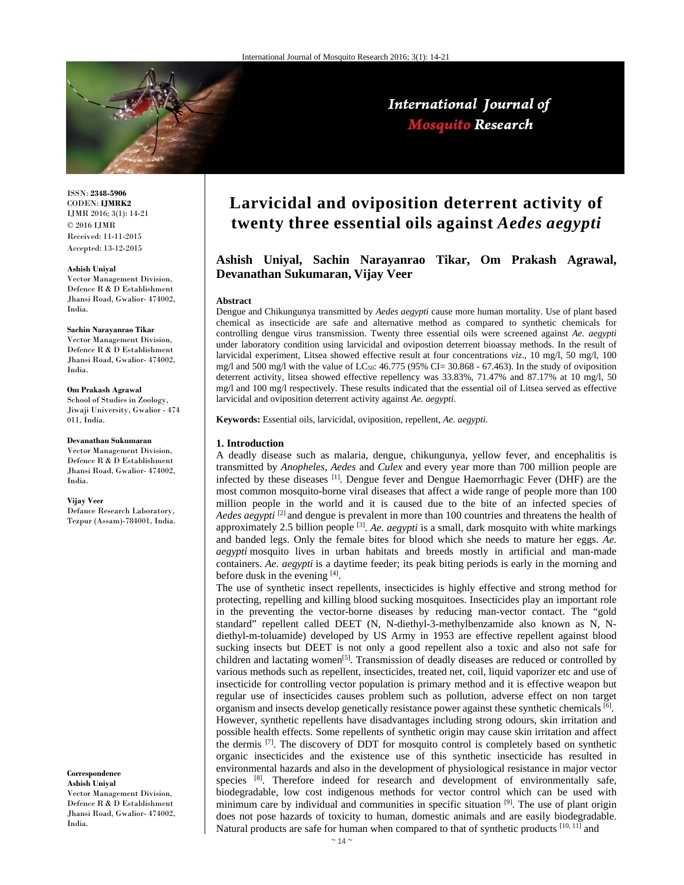

# International Journal of **Mosquito Research**

ISSN: **2348-5906** CODEN: **IJMRK2** IJMR 2016; 3(1): 14-21 © 2016 IJMR Received: 11-11-2015 Accepted: 13-12-2015

#### **Ashish Uniyal**

Vector Management Division, Defence R & D Establishment Jhansi Road, Gwalior- 474002, India.

#### **Sachin Narayanrao Tikar**

Vector Management Division, Defence R & D Establishment Jhansi Road, Gwalior- 474002, India.

#### **Om Prakash Agrawal**

School of Studies in Zoology, Jiwaji University, Gwalior - 474 011, India.

#### **Devanathan Sukumaran**

Vector Management Division, Defence R & D Establishment Jhansi Road, Gwalior- 474002, India.

#### **Vijay Veer**

Defance Research Laboratory, Tezpur (Assam)-784001, India.

**Correspondence Ashish Uniyal** 

Vector Management Division, Defence R & D Establishment Jhansi Road, Gwalior- 474002, India.

# **Larvicidal and oviposition deterrent activity of twenty three essential oils against** *Aedes aegypti*

# **Ashish Uniyal, Sachin Narayanrao Tikar, Om Prakash Agrawal, Devanathan Sukumaran, Vijay Veer**

#### **Abstract**

Dengue and Chikungunya transmitted by *Aedes aegypti* cause more human mortality. Use of plant based chemical as insecticide are safe and alternative method as compared to synthetic chemicals for controlling dengue virus transmission. Twenty three essential oils were screened against *Ae. aegypti* under laboratory condition using larvicidal and ovipostion deterrent bioassay methods. In the result of larvicidal experiment, Litsea showed effective result at four concentrations *viz*., 10 mg/l, 50 mg/l, 100 mg/l and 500 mg/l with the value of LC<sub>50</sub>: 46.775 (95% CI= 30.868 - 67.463). In the study of oviposition deterrent activity, litsea showed effective repellency was 33.83%, 71.47% and 87.17% at 10 mg/l, 50 mg/l and 100 mg/l respectively. These results indicated that the essential oil of Litsea served as effective larvicidal and oviposition deterrent activity against *Ae. aegypti*.

**Keywords:** Essential oils, larvicidal, oviposition, repellent, *Ae. aegypti.*

#### **1. Introduction**

A deadly disease such as malaria, dengue, chikungunya, yellow fever, and encephalitis is transmitted by *Anopheles*, *Aedes* and *Culex* and every year more than 700 million people are infected by these diseases [1]. Dengue fever and Dengue Haemorrhagic Fever (DHF) are the most common mosquito-borne viral diseases that affect a wide range of people more than 100 million people in the world and it is caused due to the bite of an infected species of *Aedes aegypti* [2] and dengue is prevalent in more than 100 countries and threatens the health of approximately 2.5 billion people [3]. *Ae. aegypti* is a small, dark mosquito with white markings and banded legs. Only the female bites for blood which she needs to mature her eggs. *Ae. aegypti* mosquito lives in urban habitats and breeds mostly in artificial and man-made containers. *Ae. aegypti* is a daytime feeder; its peak biting periods is early in the morning and before dusk in the evening  $[4]$ .

The use of synthetic insect repellents, insecticides is highly effective and strong method for protecting, repelling and killing blood sucking mosquitoes. Insecticides play an important role in the preventing the vector-borne diseases by reducing man-vector contact. The "gold standard" repellent called DEET (N, N-diethyl-3-methylbenzamide also known as N, Ndiethyl-m-toluamide) developed by US Army in 1953 are effective repellent against blood sucking insects but DEET is not only a good repellent also a toxic and also not safe for children and lactating women<sup>[5]</sup>. Transmission of deadly diseases are reduced or controlled by various methods such as repellent, insecticides, treated net, coil, liquid vaporizer etc and use of insecticide for controlling vector population is primary method and it is effective weapon but regular use of insecticides causes problem such as pollution, adverse effect on non target organism and insects develop genetically resistance power against these synthetic chemicals  $[6]$ . However, synthetic repellents have disadvantages including strong odours, skin irritation and possible health effects. Some repellents of synthetic origin may cause skin irritation and affect the dermis [7]. The discovery of DDT for mosquito control is completely based on synthetic organic insecticides and the existence use of this synthetic insecticide has resulted in environmental hazards and also in the development of physiological resistance in major vector species [8]. Therefore indeed for research and development of environmentally safe, biodegradable, low cost indigenous methods for vector control which can be used with minimum care by individual and communities in specific situation [9]. The use of plant origin does not pose hazards of toxicity to human, domestic animals and are easily biodegradable. Natural products are safe for human when compared to that of synthetic products [10, 11] and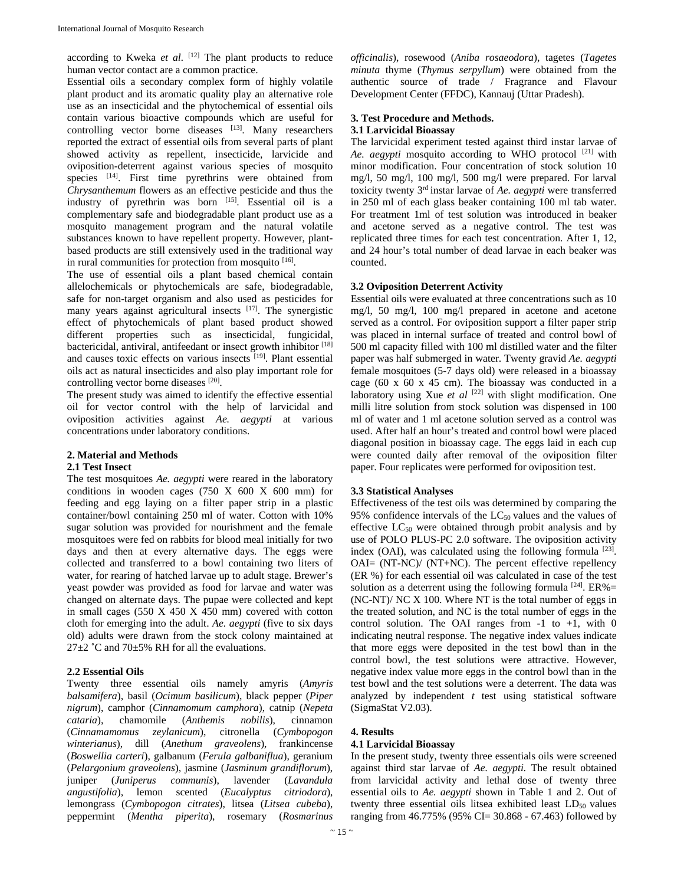according to Kweka *et al.* [12] The plant products to reduce human vector contact are a common practice.

Essential oils a secondary complex form of highly volatile plant product and its aromatic quality play an alternative role use as an insecticidal and the phytochemical of essential oils contain various bioactive compounds which are useful for controlling vector borne diseases [13]. Many researchers reported the extract of essential oils from several parts of plant showed activity as repellent, insecticide, larvicide and oviposition-deterrent against various species of mosquito species <sup>[14]</sup>. First time pyrethrins were obtained from *Chrysanthemum* flowers as an effective pesticide and thus the industry of pyrethrin was born [15]. Essential oil is a complementary safe and biodegradable plant product use as a mosquito management program and the natural volatile substances known to have repellent property. However, plantbased products are still extensively used in the traditional way in rural communities for protection from mosquito [16].

The use of essential oils a plant based chemical contain allelochemicals or phytochemicals are safe, biodegradable, safe for non-target organism and also used as pesticides for many years against agricultural insects [17]. The synergistic effect of phytochemicals of plant based product showed different properties such as insecticidal, fungicidal, bactericidal, antiviral, antifeedant or insect growth inhibitor [18] and causes toxic effects on various insects [19]. Plant essential oils act as natural insecticides and also play important role for controlling vector borne diseases [20].

The present study was aimed to identify the effective essential oil for vector control with the help of larvicidal and oviposition activities against *Ae. aegypti* at various concentrations under laboratory conditions.

## **2. Material and Methods**

#### **2.1 Test Insect**

The test mosquitoes *Ae. aegypti* were reared in the laboratory conditions in wooden cages  $(750 \times 600 \times 600 \text{ mm})$  for feeding and egg laying on a filter paper strip in a plastic container/bowl containing 250 ml of water. Cotton with 10% sugar solution was provided for nourishment and the female mosquitoes were fed on rabbits for blood meal initially for two days and then at every alternative days. The eggs were collected and transferred to a bowl containing two liters of water, for rearing of hatched larvae up to adult stage. Brewer's yeast powder was provided as food for larvae and water was changed on alternate days. The pupae were collected and kept in small cages  $(550 \times 450 \times 450 \text{ mm})$  covered with cotton cloth for emerging into the adult. *Ae. aegypti* (five to six days old) adults were drawn from the stock colony maintained at  $27\pm2$  °C and  $70\pm5\%$  RH for all the evaluations.

## **2.2 Essential Oils**

Twenty three essential oils namely amyris (*Amyris balsamifera*), basil (*Ocimum basilicum*), black pepper (*Piper nigrum*), camphor (*Cinnamomum camphora*), catnip (*Nepeta cataria*), chamomile (*Anthemis nobilis*), cinnamon (*Cinnamamomus zeylanicum*), citronella (*Cymbopogon winterianus*), dill (*Anethum graveolens*), frankincense (*Boswellia carteri*), galbanum (*Ferula galbaniflua*), geranium (*Pelargonium graveolens*), jasmine (*Jasminum grandiflorum*), juniper (*Juniperus communis*), lavender (*Lavandula angustifolia*), lemon scented (*Eucalyptus citriodora*), lemongrass (*Cymbopogon citrates*), litsea (*Litsea cubeba*), peppermint (*Mentha piperita*), rosemary (*Rosmarinus* 

*officinalis*), rosewood (*Aniba rosaeodora*), tagetes (*Tagetes minuta* thyme (*Thymus serpyllum*) were obtained from the authentic source of trade / Fragrance and Flavour Development Center (FFDC), Kannauj (Uttar Pradesh).

# **3. Test Procedure and Methods.**

# **3.1 Larvicidal Bioassay**

The larvicidal experiment tested against third instar larvae of *Ae. aegypti* mosquito according to WHO protocol [21] with minor modification. Four concentration of stock solution 10 mg/l, 50 mg/l, 100 mg/l, 500 mg/l were prepared. For larval toxicity twenty 3rd instar larvae of *Ae. aegypti* were transferred in 250 ml of each glass beaker containing 100 ml tab water. For treatment 1ml of test solution was introduced in beaker and acetone served as a negative control. The test was replicated three times for each test concentration. After 1, 12, and 24 hour's total number of dead larvae in each beaker was counted.

# **3.2 Oviposition Deterrent Activity**

Essential oils were evaluated at three concentrations such as 10 mg/l, 50 mg/l, 100 mg/l prepared in acetone and acetone served as a control. For oviposition support a filter paper strip was placed in internal surface of treated and control bowl of 500 ml capacity filled with 100 ml distilled water and the filter paper was half submerged in water. Twenty gravid *Ae. aegypti* female mosquitoes (5-7 days old) were released in a bioassay cage (60 x  $60 \times 45$  cm). The bioassay was conducted in a laboratory using Xue *et al*  $[22]$  with slight modification. One milli litre solution from stock solution was dispensed in 100 ml of water and 1 ml acetone solution served as a control was used. After half an hour's treated and control bowl were placed diagonal position in bioassay cage. The eggs laid in each cup were counted daily after removal of the oviposition filter paper. Four replicates were performed for oviposition test.

#### **3.3 Statistical Analyses**

Effectiveness of the test oils was determined by comparing the 95% confidence intervals of the  $LC_{50}$  values and the values of effective  $LC_{50}$  were obtained through probit analysis and by use of POLO PLUS-PC 2.0 software. The oviposition activity index (OAI), was calculated using the following formula  $[23]$ . OAI= (NT-NC)/ (NT+NC). The percent effective repellency (ER %) for each essential oil was calculated in case of the test solution as a deterrent using the following formula  $^{[24]}$ . ER%= (NC-NT)/ NC X 100. Where NT is the total number of eggs in the treated solution, and NC is the total number of eggs in the control solution. The OAI ranges from  $-1$  to  $+1$ , with 0 indicating neutral response. The negative index values indicate that more eggs were deposited in the test bowl than in the control bowl, the test solutions were attractive. However, negative index value more eggs in the control bowl than in the test bowl and the test solutions were a deterrent. The data was analyzed by independent *t* test using statistical software (SigmaStat V2.03).

# **4. Results**

# **4.1 Larvicidal Bioassay**

In the present study, twenty three essentials oils were screened against third star larvae of *Ae. aegypti.* The result obtained from larvicidal activity and lethal dose of twenty three essential oils to *Ae. aegypti* shown in Table 1 and 2. Out of twenty three essential oils litsea exhibited least  $LD_{50}$  values ranging from 46.775% (95% CI= 30.868 - 67.463) followed by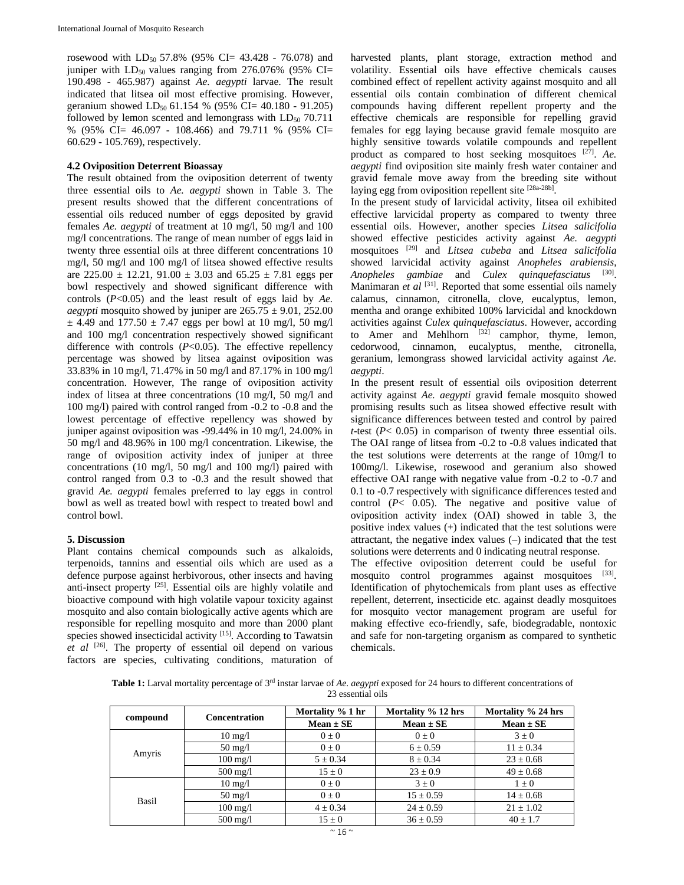rosewood with  $LD_{50} 57.8\%$  (95% CI= 43.428 - 76.078) and juniper with  $LD_{50}$  values ranging from 276.076% (95% CI= 190.498 - 465.987) against *Ae. aegypti* larvae. The result indicated that litsea oil most effective promising. However, geranium showed  $LD_{50}$  61.154 % (95% CI= 40.180 - 91.205) followed by lemon scented and lemongrass with  $LD_{50}$  70.711 % (95% CI= 46.097 - 108.466) and 79.711 % (95% CI= 60.629 - 105.769), respectively.

### **4.2 Oviposition Deterrent Bioassay**

The result obtained from the oviposition deterrent of twenty three essential oils to *Ae. aegypti* shown in Table 3. The present results showed that the different concentrations of essential oils reduced number of eggs deposited by gravid females *Ae. aegypti* of treatment at 10 mg/l, 50 mg/l and 100 mg/l concentrations. The range of mean number of eggs laid in twenty three essential oils at three different concentrations 10 mg/l, 50 mg/l and 100 mg/l of litsea showed effective results are  $225.00 \pm 12.21$ ,  $91.00 \pm 3.03$  and  $65.25 \pm 7.81$  eggs per bowl respectively and showed significant difference with controls (*P*<0.05) and the least result of eggs laid by *Ae. aegypti* mosquito showed by juniper are  $265.75 \pm 9.01$ ,  $252.00$  $\pm$  4.49 and 177.50  $\pm$  7.47 eggs per bowl at 10 mg/l, 50 mg/l and 100 mg/l concentration respectively showed significant difference with controls (*P*<0.05). The effective repellency percentage was showed by litsea against oviposition was 33.83% in 10 mg/l, 71.47% in 50 mg/l and 87.17% in 100 mg/l concentration. However, The range of oviposition activity index of litsea at three concentrations (10 mg/l, 50 mg/l and 100 mg/l) paired with control ranged from -0.2 to -0.8 and the lowest percentage of effective repellency was showed by juniper against oviposition was -99.44% in 10 mg/l, 24.00% in 50 mg/l and 48.96% in 100 mg/l concentration. Likewise, the range of oviposition activity index of juniper at three concentrations (10 mg/l, 50 mg/l and 100 mg/l) paired with control ranged from 0.3 to -0.3 and the result showed that gravid *Ae. aegypti* females preferred to lay eggs in control bowl as well as treated bowl with respect to treated bowl and control bowl.

## **5. Discussion**

Plant contains chemical compounds such as alkaloids, terpenoids, tannins and essential oils which are used as a defence purpose against herbivorous, other insects and having anti-insect property [25]. Essential oils are highly volatile and bioactive compound with high volatile vapour toxicity against mosquito and also contain biologically active agents which are responsible for repelling mosquito and more than 2000 plant species showed insecticidal activity [15]. According to Tawatsin *et al* <sup>[26]</sup>. The property of essential oil depend on various factors are species, cultivating conditions, maturation of harvested plants, plant storage, extraction method and volatility. Essential oils have effective chemicals causes combined effect of repellent activity against mosquito and all essential oils contain combination of different chemical compounds having different repellent property and the effective chemicals are responsible for repelling gravid females for egg laying because gravid female mosquito are highly sensitive towards volatile compounds and repellent product as compared to host seeking mosquitoes <sup>[27]</sup>. *Ae. aegypti* find oviposition site mainly fresh water container and gravid female move away from the breeding site without laying egg from oviposition repellent site [28a-28b].

In the present study of larvicidal activity, litsea oil exhibited effective larvicidal property as compared to twenty three essential oils. However, another species *Litsea salicifolia*  showed effective pesticides activity against *Ae. aegypti* mosquitoes [29] and *Litsea cubeba* and *Litsea salicifolia*  showed larvicidal activity against *Anopheles arabiensis*, *Anopheles gambiae* and *Culex quinquefasciatus* [30]. Manimaran *et al* <sup>[31]</sup>. Reported that some essential oils namely calamus, cinnamon, citronella, clove, eucalyptus, lemon, mentha and orange exhibited 100% larvicidal and knockdown activities against *Culex quinquefasciatus*. However, according to Amer and Mehlhorn  $[32]$  camphor, thyme, lemon, cedorwood, cinnamon, eucalyptus, menthe, citronella, geranium, lemongrass showed larvicidal activity against *Ae. aegypti*.

In the present result of essential oils oviposition deterrent activity against *Ae. aegypti* gravid female mosquito showed promising results such as litsea showed effective result with significance differences between tested and control by paired *t*-test (*P*< 0.05) in comparison of twenty three essential oils. The OAI range of litsea from -0.2 to -0.8 values indicated that the test solutions were deterrents at the range of 10mg/l to 100mg/l. Likewise, rosewood and geranium also showed effective OAI range with negative value from -0.2 to -0.7 and 0.1 to -0.7 respectively with significance differences tested and control (*P*< 0.05). The negative and positive value of oviposition activity index (OAI) showed in table 3, the positive index values (+) indicated that the test solutions were attractant, the negative index values (–) indicated that the test solutions were deterrents and 0 indicating neutral response.

The effective oviposition deterrent could be useful for mosquito control programmes against mosquitoes [33]. Identification of phytochemicals from plant uses as effective repellent, deterrent, insecticide etc. against deadly mosquitoes for mosquito vector management program are useful for making effective eco-friendly, safe, biodegradable, nontoxic and safe for non-targeting organism as compared to synthetic chemicals.

**Table 1:** Larval mortality percentage of 3rd instar larvae of *Ae. aegypti* exposed for 24 hours to different concentrations of 23 essential oils

| compound | <b>Concentration</b> | Mortality % 1 hr | Mortality % 12 hrs | Mortality % 24 hrs |
|----------|----------------------|------------------|--------------------|--------------------|
|          |                      | $Mean \pm SE$    | $Mean \pm SE$      | $Mean \pm SE$      |
|          | $10 \text{ mg}/l$    | $0 \pm 0$        | $0\pm 0$           | $3\pm0$            |
| Amyris   | $50 \text{ mg}/1$    | $0\pm 0$         | $6 \pm 0.59$       | $11 \pm 0.34$      |
|          | $100 \text{ mg/l}$   | $5 \pm 0.34$     | $8 \pm 0.34$       | $23 \pm 0.68$      |
|          | $500 \text{ mg}/1$   | $15 \pm 0$       | $23 \pm 0.9$       | $49 \pm 0.68$      |
| Basil    | $10 \text{ mg}/l$    | $0\pm 0$         | $3\pm0$            | $1 \pm 0$          |
|          | $50 \text{ mg}/1$    | $0\pm 0$         | $15 \pm 0.59$      | $14 \pm 0.68$      |
|          | $100 \text{ mg/l}$   | $4 \pm 0.34$     | $24 \pm 0.59$      | $21 \pm 1.02$      |
|          | $500 \text{ mg/l}$   | $15 \pm 0$       | $36 \pm 0.59$      | $40 \pm 1.7$       |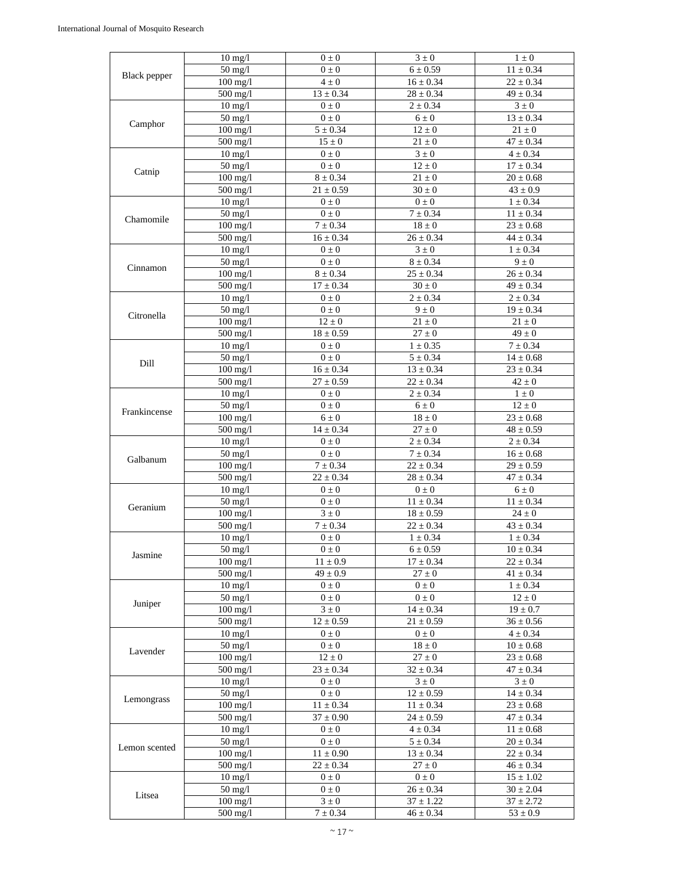|               | $10 \text{ mg/l}$     | $0 \pm 0$     | $3 \pm 0$               | $1 \pm 0$     |
|---------------|-----------------------|---------------|-------------------------|---------------|
| Black pepper  | $50 \text{ mg/l}$     | $0 \pm 0$     | $6 \pm 0.59$            | $11 \pm 0.34$ |
|               | $100$ mg/l            | $4\pm0$       | $16 \pm 0.34$           | $22 \pm 0.34$ |
|               | 500 mg/l              | $13 \pm 0.34$ | $28 \pm 0.34$           | $49 \pm 0.34$ |
|               | $10 \text{ mg/l}$     | $0 \pm 0$     | $2\pm0.34$              | $3 \pm 0$     |
| Camphor       | $50$ mg/l             |               |                         |               |
|               |                       | $0 \pm 0$     | $6 \pm 0$<br>$12 \pm 0$ | $13 \pm 0.34$ |
|               | $100$ mg/l            | $5\pm0.34$    |                         | $21 \pm 0$    |
|               | $500$ mg/l            | $15\pm0$      | $21 \pm 0$              | $47 \pm 0.34$ |
|               | $10 \text{ mg}/l$     | $0\pm0$       | $3 \pm 0$               | $4 \pm 0.34$  |
| Catnip        | $50 \text{ mg/l}$     | $0\pm0$       | $12\pm0$                | $17 \pm 0.34$ |
|               | $100$ mg/l            | $8 \pm 0.34$  | $21 \pm 0$              | $20 \pm 0.68$ |
|               | $500$ mg/l            | $21 \pm 0.59$ | $30 \pm 0$              | $43 \pm 0.9$  |
|               | $10 \text{ mg}/l$     | $0 \pm 0$     | $0 \pm 0$               | $1 \pm 0.34$  |
| Chamomile     | $50 \text{ mg/l}$     | $0 \pm 0$     | $7 \pm 0.34$            | $11 \pm 0.34$ |
|               | $100$ mg/l            | $7 \pm 0.34$  | $18\pm0$                | $23 \pm 0.68$ |
|               | $\overline{500}$ mg/l | $16 \pm 0.34$ | $26 \pm 0.34$           | $44 \pm 0.34$ |
|               | $10 \text{ mg}/l$     | $0\pm 0$      | $3 \pm 0$               | $1 \pm 0.34$  |
|               | $50 \text{ mg/l}$     | $0 \pm 0$     | $8 \pm 0.34$            | $9 \pm 0$     |
| Cinnamon      | $100$ mg/l            | $8 \pm 0.34$  | $25\pm0.34$             | $26 \pm 0.34$ |
|               | $500$ mg/l            | $17 \pm 0.34$ | $30\pm0$                | $49 \pm 0.34$ |
|               | $10$ mg/l             | $0\pm 0$      | $2 \pm 0.34$            | $2 \pm 0.34$  |
|               | $50 \text{ mg/l}$     | $0 \pm 0$     | $9\pm0$                 | $19 \pm 0.34$ |
| Citronella    | $100$ mg/l            | $12 \pm 0$    | $21 \pm 0$              | $21 \pm 0$    |
|               |                       |               |                         |               |
|               | $500$ mg/l            | $18 \pm 0.59$ | $27 \pm 0$              | $49 \pm 0$    |
|               | $10 \text{ mg}/l$     | $0\pm0$       | $1 \pm 0.35$            | $7 \pm 0.34$  |
| Dill          | 50 mg/l               | $0\pm0$       | $5 \pm 0.34$            | $14 \pm 0.68$ |
|               | $100$ mg/l            | $16 \pm 0.34$ | $13 \pm 0.34$           | $23\pm0.34$   |
|               | 500 mg/l              | $27 \pm 0.59$ | $22 \pm 0.34$           | $42 \pm 0$    |
|               | $10 \text{ mg/l}$     | $0 \pm 0$     | $2 \pm 0.34$            | $1 \pm 0$     |
| Frankincense  | $50$ mg/l             | $0\pm0$       | $6 \pm 0$               | $12 \pm 0$    |
|               | $100$ mg/l            | $6\pm0$       | $18 \pm 0$              | $23 \pm 0.68$ |
|               | $500$ mg/l            | $14 \pm 0.34$ | $27 \pm 0$              | $48 \pm 0.59$ |
|               | $10 \text{ mg/l}$     | $0\pm 0$      | $2 \pm 0.34$            | $2 \pm 0.34$  |
|               | $50 \text{ mg/l}$     | $0 \pm 0$     | $7 \pm 0.34$            | $16 \pm 0.68$ |
| Galbanum      | $100$ mg/l            | $7 \pm 0.34$  | $22 \pm 0.34$           | $29 \pm 0.59$ |
|               | $500$ mg/l            | $22 \pm 0.34$ | $28 \pm 0.34$           | $47 \pm 0.34$ |
|               | $10 \text{ mg}/l$     | $0\pm0$       | $0\pm0$                 | $6\pm0$       |
|               | $50 \text{ mg/l}$     | $0 \pm 0$     | $11 \pm 0.34$           | $11 \pm 0.34$ |
| Geranium      | $100$ mg/l            | $3\pm0$       | $18 \pm 0.59$           | $24\pm0$      |
|               | 500 mg/l              | $7 \pm 0.34$  | $22 \pm 0.34$           | $43 \pm 0.34$ |
|               | $10 \text{ mg/l}$     | $0 \pm 0$     | $1 \pm 0.34$            | $1\pm0.34$    |
|               |                       | $0\pm0$       |                         | $10 \pm 0.34$ |
| Jasmine       | $50 \mathrm{~m g/l}$  |               | $6 \pm 0.59$            |               |
|               | $100$ mg/l            | $11 \pm 0.9$  | $17 \pm 0.34$           | $22 \pm 0.34$ |
|               | 500 mg/l              | $49\pm0.9$    | $27\pm0$                | $41 \pm 0.34$ |
|               | $10 \text{ mg}/1$     | $0 \pm 0$     | $0 \pm 0$               | $1 \pm 0.34$  |
| Juniper       | $50 \text{ mg}/l$     | $0 \pm 0$     | $0\pm0$                 | $12 \pm 0$    |
|               | $100$ mg/l            | $3 \pm 0$     | $14 \pm 0.34$           | $19 \pm 0.7$  |
|               | $500$ mg/l            | $12 \pm 0.59$ | $21 \pm 0.59$           | $36 \pm 0.56$ |
|               | $10 \text{ mg}/1$     | $0 \pm 0$     | $0 \pm 0$               | $4 \pm 0.34$  |
| Lavender      | $50 \text{ mg}/l$     | $0 \pm 0$     | $18 \pm 0$              | $10 \pm 0.68$ |
|               | $100$ mg/l            | $12 \pm 0$    | $27\pm0$                | $23\pm0.68$   |
|               | $500$ mg/l            | $23 \pm 0.34$ | $32 \pm 0.34$           | $47 \pm 0.34$ |
| Lemongrass    | $10 \text{ mg/l}$     | $0 \pm 0$     | $3 \pm 0$               | $3 \pm 0$     |
|               | $50 \text{ mg}/l$     | $0 \pm 0$     | $12 \pm 0.59$           | $14 \pm 0.34$ |
|               | $100$ mg/l            | $11 \pm 0.34$ | $11 \pm 0.34$           | $23 \pm 0.68$ |
|               | 500 mg/l              | $37\pm0.90$   | $24 \pm 0.59$           | $47 \pm 0.34$ |
|               | $10 \text{ mg/l}$     | $0 \pm 0$     | $4 \pm 0.34$            | $11 \pm 0.68$ |
|               | $50 \text{ mg/l}$     | $0 \pm 0$     | $5 \pm 0.34$            | $20 \pm 0.34$ |
| Lemon scented | $100 \text{ mg/l}$    | $11 \pm 0.90$ | $13 \pm 0.34$           | $22 \pm 0.34$ |
|               | 500 mg/l              | $22 \pm 0.34$ | $27 \pm 0$              | $46\pm0.34$   |
|               | $10 \text{ mg}/1$     | $0 \pm 0$     | $0 \pm 0$               | $15 \pm 1.02$ |
|               |                       |               |                         |               |
| Litsea        | $50 \text{ mg}/l$     | $0 \pm 0$     | $26 \pm 0.34$           | $30 \pm 2.04$ |
|               | $100$ mg/l            | $3 \pm 0$     | $37 \pm 1.22$           | $37 \pm 2.72$ |
|               | 500 mg/l              | $7 \pm 0.34$  | $46 \pm 0.34$           | $53\pm0.9$    |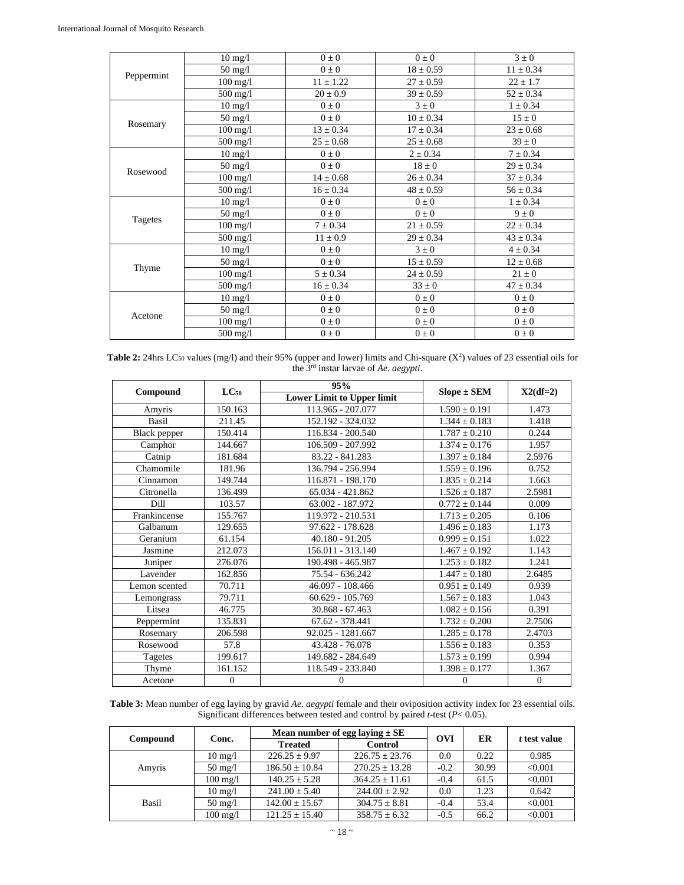| Peppermint | $10 \text{ mg}/l$     | $0\pm 0$      | $0\pm 0$      | $3\pm0$       |
|------------|-----------------------|---------------|---------------|---------------|
|            | 50 mg/l               | $0 \pm 0$     | $18 \pm 0.59$ | $11 \pm 0.34$ |
|            | $100 \text{ mg/l}$    | $11 \pm 1.22$ | $27 \pm 0.59$ | $22 \pm 1.7$  |
|            | $500 \text{ mg/l}$    | $20 \pm 0.9$  | $39 \pm 0.59$ | $52 \pm 0.34$ |
|            | $10 \text{ mg}/l$     | $0\pm 0$      | $3\pm0$       | $1 \pm 0.34$  |
|            | $50$ mg/l             | $0\pm 0$      | $10 \pm 0.34$ | $15 \pm 0$    |
| Rosemary   | $100$ mg/l            | $13 \pm 0.34$ | $17 \pm 0.34$ | $23 \pm 0.68$ |
|            | $500$ mg/l            | $25 \pm 0.68$ | $25 \pm 0.68$ | $39 \pm 0$    |
|            | $10 \text{ mg}/l$     | $0\pm 0$      | $2 \pm 0.34$  | $7 \pm 0.34$  |
|            | $50 \text{ mg}/l$     | $0\pm 0$      | $18 \pm 0$    | $29 \pm 0.34$ |
| Rosewood   | $100$ mg/l            | $14 \pm 0.68$ | $26 \pm 0.34$ | $37 \pm 0.34$ |
|            | 500 mg/l              | $16 \pm 0.34$ | $48 \pm 0.59$ | $56 \pm 0.34$ |
|            | $10 \text{ mg}/l$     | $0\pm 0$      | $0 \pm 0$     | $1 \pm 0.34$  |
|            | $50 \text{ mg}/l$     | $0\pm 0$      | $0 \pm 0$     | $9 \pm 0$     |
| Tagetes    | $100$ mg/l            | $7 \pm 0.34$  | $21 \pm 0.59$ | $22 \pm 0.34$ |
|            | $500$ mg/l            | $11 \pm 0.9$  | $29 \pm 0.34$ | $43\pm0.34$   |
|            | $10 \text{ mg}/l$     | $0\pm 0$      | $3\pm0$       | $4 \pm 0.34$  |
|            | $50 \text{ mg/l}$     | $0\pm 0$      | $15 \pm 0.59$ | $12 \pm 0.68$ |
| Thyme      | $100$ mg/l            | $5 \pm 0.34$  | $24 \pm 0.59$ | $21 \pm 0$    |
|            | $\overline{500}$ mg/l | $16 \pm 0.34$ | $33 \pm 0$    | $47 \pm 0.34$ |
|            | $10 \text{ mg/l}$     | $0\pm 0$      | $0\pm 0$      | $0 \pm 0$     |
|            | $50 \text{ mg}/l$     | $0\pm 0$      | $0 \pm 0$     | $0 \pm 0$     |
| Acetone    | $100 \text{ mg/l}$    | $0\pm 0$      | $0 \pm 0$     | $0 \pm 0$     |
|            | $500$ mg/l            | $0 \pm 0$     | $0\pm 0$      | $0 \pm 0$     |

| <b>Table 2:</b> 24hrs LC <sub>50</sub> values (mg/l) and their 95% (upper and lower) limits and Chi-square ( $X^2$ ) values of 23 essential oils for |
|------------------------------------------------------------------------------------------------------------------------------------------------------|
| the 3 <sup>rd</sup> instar larvae of Ae, aegypti.                                                                                                    |

|                     | 95%          |                                   |                   |              |  |
|---------------------|--------------|-----------------------------------|-------------------|--------------|--|
| Compound            | $LC_{50}$    | <b>Lower Limit to Upper limit</b> | $Slope \pm SEM$   | $X2(df=2)$   |  |
| Amyris              | 150.163      | 113.965 - 207.077                 | $1.590 \pm 0.191$ | 1.473        |  |
| Basil               | 211.45       | 152.192 - 324.032                 | $1.344 \pm 0.183$ | 1.418        |  |
| <b>Black pepper</b> | 150.414      | 116.834 - 200.540                 | $1.787 \pm 0.210$ | 0.244        |  |
| Camphor             | 144.667      | 106.509 - 207.992                 | $1.374 \pm 0.176$ | 1.957        |  |
| Catnip              | 181.684      | 83.22 - 841.283                   | $1.397 \pm 0.184$ | 2.5976       |  |
| Chamomile           | 181.96       | 136.794 - 256.994                 | $1.559 \pm 0.196$ | 0.752        |  |
| Cinnamon            | 149.744      | 116.871 - 198.170                 | $1.835 \pm 0.214$ | 1.663        |  |
| Citronella          | 136.499      | 65.034 - 421.862                  | $1.526 \pm 0.187$ | 2.5981       |  |
| Dill                | 103.57       | 63.002 - 187.972                  | $0.772 \pm 0.144$ | 0.009        |  |
| Frankincense        | 155.767      | 119.972 - 210.531                 | $1.713 \pm 0.205$ | 0.106        |  |
| Galbanum            | 129.655      | 97.622 - 178.628                  | $1.496 \pm 0.183$ | 1.173        |  |
| Geranium            | 61.154       | $40.180 - 91.205$                 | $0.999 \pm 0.151$ | 1.022        |  |
| Jasmine             | 212.073      | 156.011 - 313.140                 | $1.467 \pm 0.192$ | 1.143        |  |
| Juniper             | 276.076      | 190.498 - 465.987                 | $1.253 \pm 0.182$ | 1.241        |  |
| Lavender            | 162.856      | 75.54 - 636.242                   | $1.447 \pm 0.180$ | 2.6485       |  |
| Lemon scented       | 70.711       | 46.097 - 108.466                  | $0.951 \pm 0.149$ | 0.939        |  |
| Lemongrass          | 79.711       | 60.629 - 105.769                  | $1.567 \pm 0.183$ | 1.043        |  |
| Litsea              | 46.775       | $30.868 - 67.463$                 | $1.082 \pm 0.156$ | 0.391        |  |
| Peppermint          | 135.831      | 67.62 - 378.441                   | $1.732 \pm 0.200$ | 2.7506       |  |
| Rosemary            | 206.598      | 92.025 - 1281.667                 | $1.285 \pm 0.178$ | 2.4703       |  |
| Rosewood            | 57.8         | 43.428 - 76.078                   | $1.556 \pm 0.183$ | 0.353        |  |
| Tagetes             | 199.617      | 149.682 - 284.649                 | $1.573 \pm 0.199$ | 0.994        |  |
| Thyme               | 161.152      | 118.549 - 233.840                 | $1.398 \pm 0.177$ | 1.367        |  |
| Acetone             | $\mathbf{0}$ | $\Omega$                          | $\Omega$          | $\mathbf{0}$ |  |

**Table 3:** Mean number of egg laying by gravid *Ae. aegypti* female and their oviposition activity index for 23 essential oils. Significant differences between tested and control by paired *t*-test (*P*< 0.05).

| <b>Compound</b> | Conc.              | Mean number of egg laying $\pm$ SE |                    | OVI    | ER    | t test value |
|-----------------|--------------------|------------------------------------|--------------------|--------|-------|--------------|
|                 |                    | <b>Treated</b>                     | <b>Control</b>     |        |       |              |
| Amyris          | $10 \text{ mg}/1$  | $226.25 + 9.97$                    | $226.75 \pm 23.76$ | 0.0    | 0.22  | 0.985        |
|                 | $50 \text{ mg}/1$  | $186.50 \pm 10.84$                 | $270.25 \pm 13.28$ | $-0.2$ | 30.99 | < 0.001      |
|                 | $100 \text{ mg/l}$ | $140.25 + 5.28$                    | $364.25 + 11.61$   | $-0.4$ | 61.5  | < 0.001      |
| Basil           | $10 \text{ mg}/1$  | $241.00 \pm 5.40$                  | $244.00 + 2.92$    | 0.0    | 1.23  | 0.642        |
|                 | $50 \text{ mg}/1$  | $142.00 \pm 15.67$                 | $304.75 \pm 8.81$  | $-0.4$ | 53.4  | < 0.001      |
|                 | $100 \text{ mg}/1$ | $121.25 + 15.40$                   | $358.75 + 6.32$    | $-0.5$ | 66.2  | < 0.001      |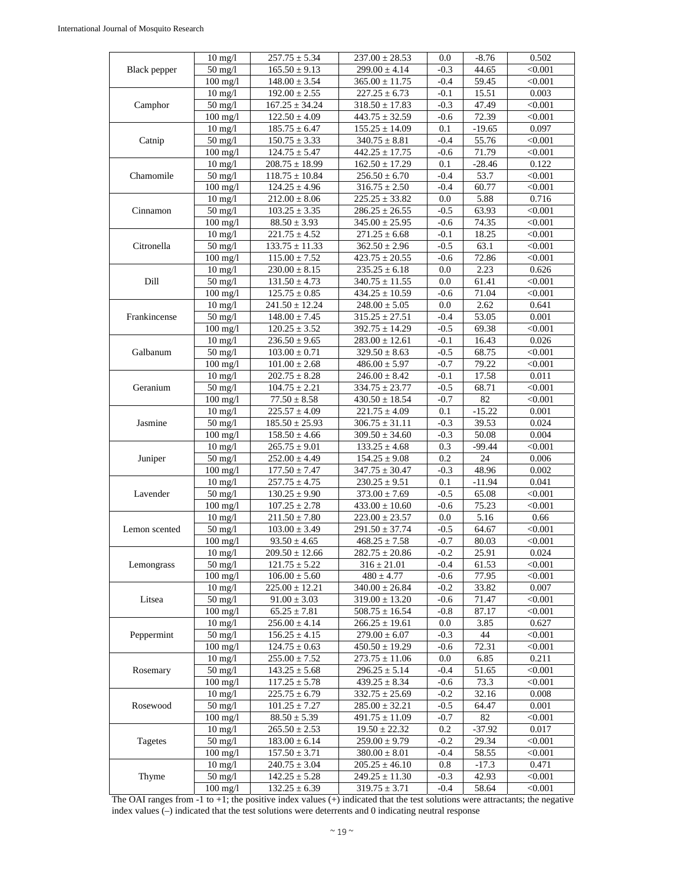| Black pepper  | $10 \text{ mg}/l$   | $257.75 \pm 5.34$            | $237.00 \pm 28.53$ | 0.0    | $-8.76$  | 0.502   |
|---------------|---------------------|------------------------------|--------------------|--------|----------|---------|
|               | $50$ mg/l           | $165.50 \pm 9.13$            | $299.00 \pm 4.14$  | $-0.3$ | 44.65    | < 0.001 |
|               | $100$ mg/l          | $148.00 \pm 3.54$            | $365.00 \pm 11.75$ | $-0.4$ | 59.45    | < 0.001 |
|               | $10$ mg/l           | $192.00 \pm 2.55$            | $227.25 \pm 6.73$  | $-0.1$ | 15.51    | 0.003   |
| Camphor       | $50$ mg/l           | $167.25 \pm 34.24$           | $318.50 \pm 17.83$ | $-0.3$ | 47.49    | < 0.001 |
|               | $100$ mg/l          | $122.50 \pm 4.09$            | $443.75 \pm 32.59$ | $-0.6$ | 72.39    | < 0.001 |
|               | $10 \text{ mg}/l$   | $185.75 \pm 6.47$            | $155.25 \pm 14.09$ | 0.1    | $-19.65$ | 0.097   |
|               |                     |                              |                    |        | 55.76    |         |
| Catnip        | $50 \text{ mg}/l$   | $150.75 \pm 3.33$            | $340.75 \pm 8.81$  | $-0.4$ |          | < 0.001 |
|               | $100$ mg/l          | $124.75 \pm 5.47$            | $442.25 \pm 17.75$ | $-0.6$ | 71.79    | < 0.001 |
|               | $10 \text{ mg/l}$   | $208.75 \pm 18.99$           | $162.50 \pm 17.29$ | 0.1    | $-28.46$ | 0.122   |
| Chamomile     | $50 \text{ mg/l}$   | $118.75 \pm 10.84$           | $256.50 \pm 6.70$  | $-0.4$ | 53.7     | < 0.001 |
|               | $100$ mg/l          | $124.25 \pm 4.96$            | $316.75 \pm 2.50$  | $-0.4$ | 60.77    | < 0.001 |
|               | $10 \text{ mg/l}$   | $212.00 \pm 8.06$            | $225.25 \pm 33.82$ | 0.0    | 5.88     | 0.716   |
| Cinnamon      | $50$ mg/l           | $103.25\pm3.35$              | $286.25 \pm 26.55$ | $-0.5$ | 63.93    | < 0.001 |
|               | $100$ mg/l          | $88.50 \pm 3.93$             | $345.00 \pm 25.95$ | $-0.6$ | 74.35    | < 0.001 |
|               | $10$ mg/l           | $\overline{221.75 \pm 4.52}$ | $271.25 \pm 6.68$  | $-0.1$ | 18.25    | < 0.001 |
| Citronella    | $50$ mg/l           | $133.75 \pm 11.33$           | $362.50 \pm 2.96$  | $-0.5$ | 63.1     | < 0.001 |
|               |                     |                              |                    |        |          |         |
|               | $100$ mg/l          | $115.00 \pm 7.52$            | $423.75 \pm 20.55$ | -0.6   | 72.86    | < 0.001 |
|               | $10 \text{ mg}/l$   | $230.00 \pm 8.15$            | $235.25 \pm 6.18$  | 0.0    | 2.23     | 0.626   |
| Dill          | $50 \text{ mg}/l$   | $131.50 \pm 4.73$            | $340.75 \pm 11.55$ | 0.0    | 61.41    | < 0.001 |
|               | $100 \text{ mg}/l$  | $125.75 \pm 0.85$            | $434.25 \pm 10.59$ | -0.6   | 71.04    | < 0.001 |
|               | $10$ mg/l           | $241.50 \pm 12.24$           | $248.00 \pm 5.05$  | 0.0    | 2.62     | 0.641   |
| Frankincense  | $50 \text{ mg/l}$   | $148.00 \pm 7.45$            | $315.25 \pm 27.51$ | $-0.4$ | 53.05    | 0.001   |
|               | $100$ mg/l          | $120.25 \pm 3.52$            | $392.75 \pm 14.29$ | $-0.5$ | 69.38    | < 0.001 |
|               | $10 \text{ mg}/l$   | $236.50 \pm 9.65$            | $283.00 \pm 12.61$ | $-0.1$ | 16.43    | 0.026   |
| Galbanum      | $50 \text{ mg}/l$   | $103.00 \pm 0.71$            | $329.50 \pm 8.63$  | $-0.5$ | 68.75    | < 0.001 |
|               | $100$ mg/l          | $101.00 \pm 2.68$            | $486.00 \pm 5.97$  | $-0.7$ | 79.22    | < 0.001 |
|               | $10 \text{ mg}/l$   | $202.75 \pm 8.28$            | $246.00 \pm 8.42$  | $-0.1$ | 17.58    | 0.011   |
| Geranium      | $50 \text{ mg}/l$   | $104.75 \pm 2.21$            | $334.75 \pm 23.77$ | $-0.5$ | 68.71    | < 0.001 |
|               |                     |                              |                    |        |          |         |
|               | $100 \text{ mg}/l$  | $77.50\pm8.58$               | $430.50 \pm 18.54$ | $-0.7$ | 82       | < 0.001 |
|               | $10$ mg/ $1$        | $225.57 \pm 4.09$            | $221.75 \pm 4.09$  | 0.1    | $-15.22$ | 0.001   |
| Jasmine       | $50 \text{ mg/l}$   | $185.50 \pm 25.93$           | $306.75 \pm 31.11$ | $-0.3$ | 39.53    | 0.024   |
|               | $100$ mg/l          | $158.50 \pm 4.66$            | $309.50 \pm 34.60$ | $-0.3$ | 50.08    | 0.004   |
|               | $10$ mg/l           | $265.75\pm9.01$              | $133.25 \pm 4.68$  | 0.3    | $-99.44$ | < 0.001 |
| Juniper       | $50$ mg/l           | $252.00 \pm 4.49$            | $154.25 \pm 9.08$  | 0.2    | 24       | 0.006   |
|               | $100$ mg/l          | $177.50 \pm 7.47$            | $347.75 \pm 30.47$ | $-0.3$ | 48.96    | 0.002   |
|               | $10$ mg/l           | $257.75 \pm 4.75$            | $230.25 \pm 9.51$  | 0.1    | $-11.94$ | 0.041   |
| Lavender      | $50$ mg/l           | $130.25 \pm 9.90$            | $373.00 \pm 7.69$  | $-0.5$ | 65.08    | < 0.001 |
|               | $100$ mg/l          | $107.25 \pm 2.78$            | $433.00 \pm 10.60$ | $-0.6$ | 75.23    | < 0.001 |
|               | $10$ mg/l           | $211.50\pm7.80$              | $223.00 \pm 23.57$ | 0.0    | 5.16     | 0.66    |
| Lemon scented | $\frac{1}{50}$ mg/l | $103.00 \pm 3.49$            | $291.50 \pm 37.74$ | $-0.5$ | 64.67    | < 0.001 |
|               | $100 \text{ mg/l}$  | $93.50 \pm 4.65$             | $468.25 \pm 7.58$  | $-0.7$ | 80.03    | < 0.001 |
|               | $10 \text{ mg/l}$   | $209.50 \pm 12.66$           | $282.75 \pm 20.86$ | $-0.2$ | 25.91    | 0.024   |
| Lemongrass    | $50 \text{ mg/l}$   | $121.75 \pm 5.22$            | $316 \pm 21.01$    | -0.4   | 61.53    | < 0.001 |
|               | $100$ mg/l          | $106.00 \pm 5.60$            | $480 \pm 4.77$     | $-0.6$ | 77.95    | < 0.001 |
|               |                     |                              |                    |        |          |         |
|               | $10 \text{ mg/l}$   | $225.00 \pm 12.21$           | $340.00 \pm 26.84$ | $-0.2$ | 33.82    | 0.007   |
| Litsea        | $50 \text{ mg}/l$   | $91.00 \pm 3.03$             | $319.00 \pm 13.20$ | $-0.6$ | 71.47    | < 0.001 |
|               | $100 \text{ mg/l}$  | $65.25 \pm 7.81$             | $508.75 \pm 16.54$ | -0.8   | 87.17    | < 0.001 |
|               | $10$ mg/l           | $256.00 \pm 4.14$            | $266.25 \pm 19.61$ | 0.0    | 3.85     | 0.627   |
| Peppermint    | $50 \text{ mg/l}$   | $156.25 \pm 4.15$            | $279.00 \pm 6.07$  | -0.3   | 44       | < 0.001 |
|               | $100$ mg/l          | $124.75 \pm 0.63$            | $450.50 \pm 19.29$ | -0.6   | 72.31    | < 0.001 |
|               | $10 \text{ mg/l}$   | $255.00 \pm 7.52$            | $273.75 \pm 11.06$ | 0.0    | 6.85     | 0.211   |
| Rosemary      | $50$ mg/l           | $143.25 \pm 5.68$            | $296.25 \pm 5.14$  | $-0.4$ | 51.65    | < 0.001 |
|               | $100 \text{ mg/l}$  | $117.25 \pm 5.78$            | $439.25 \pm 8.34$  | $-0.6$ | 73.3     | < 0.001 |
|               | $10 \text{ mg}/l$   | $225.75 \pm 6.79$            | $332.75 \pm 25.69$ | -0.2   | 32.16    | 0.008   |
| Rosewood      | $50$ mg/l           | $101.25 \pm 7.27$            | $285.00 \pm 32.21$ | -0.5   | 64.47    | 0.001   |
|               | $100$ mg/l          | $88.50 \pm 5.39$             | $491.75 \pm 11.09$ | $-0.7$ | 82       | < 0.001 |
|               | $10 \text{ mg/l}$   | $265.50 \pm 2.53$            | $19.50 \pm 22.32$  | 0.2    | $-37.92$ | 0.017   |
|               |                     |                              |                    |        |          |         |
| Tagetes       | $50 \text{ mg/l}$   | $183.00 \pm 6.14$            | $259.00 \pm 9.79$  | $-0.2$ | 29.34    | < 0.001 |
|               | $100$ mg/l          | $157.50 \pm 3.71$            | $380.00 \pm 8.01$  | -0.4   | 58.55    | < 0.001 |
|               | $10$ mg/l           | $240.75 \pm 3.04$            | $205.25 \pm 46.10$ | 0.8    | $-17.3$  | 0.471   |
| Thyme         | $50$ mg/l           | $142.25 \pm 5.28$            | $249.25 \pm 11.30$ | $-0.3$ | 42.93    | < 0.001 |
|               | $100 \text{ mg/l}$  | $132.25 \pm 6.39$            | $319.75 \pm 3.71$  | $-0.4$ | 58.64    | < 0.001 |

The OAI ranges from -1 to +1; the positive index values  $(+)$  indicated that the test solutions were attractants; the negative index values (–) indicated that the test solutions were deterrents and 0 indicating neutral response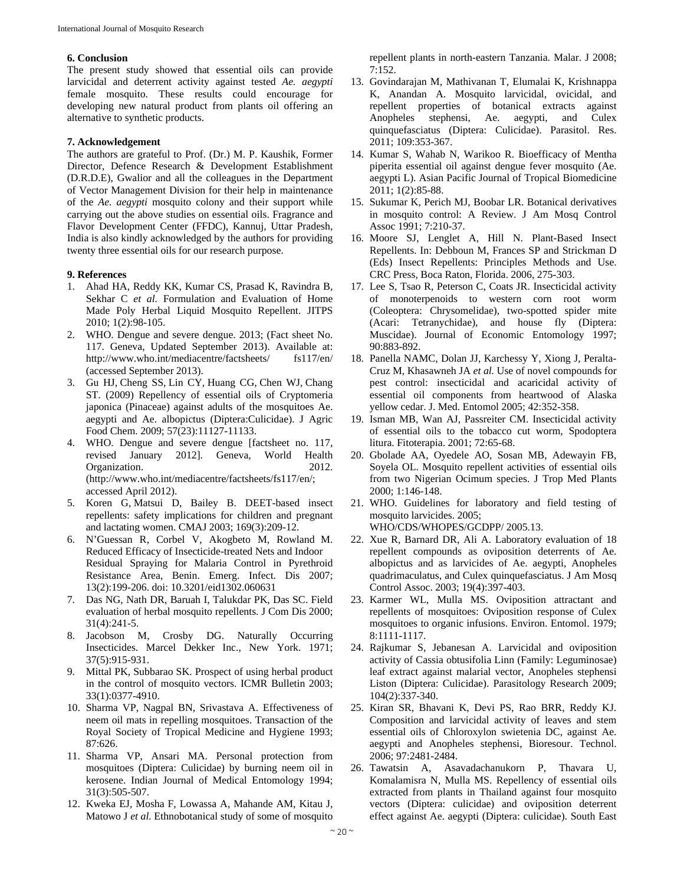# **6. Conclusion**

The present study showed that essential oils can provide larvicidal and deterrent activity against tested *Ae. aegypti* female mosquito. These results could encourage for developing new natural product from plants oil offering an alternative to synthetic products.

#### **7. Acknowledgement**

The authors are grateful to Prof. (Dr.) M. P. Kaushik, Former Director, Defence Research & Development Establishment (D.R.D.E), Gwalior and all the colleagues in the Department of Vector Management Division for their help in maintenance of the *Ae. aegypti* mosquito colony and their support while carrying out the above studies on essential oils. Fragrance and Flavor Development Center (FFDC), Kannuj, Uttar Pradesh, India is also kindly acknowledged by the authors for providing twenty three essential oils for our research purpose.

### **9. References**

- 1. Ahad HA, Reddy KK, Kumar CS, Prasad K, Ravindra B, Sekhar C *et al.* Formulation and Evaluation of Home Made Poly Herbal Liquid Mosquito Repellent. JITPS 2010; 1(2):98-105.
- 2. WHO. Dengue and severe dengue. 2013; (Fact sheet No. 117. Geneva, Updated September 2013). Available at: http://www.who.int/mediacentre/factsheets/ fs117/en/ (accessed September 2013).
- 3. Gu HJ, Cheng SS, Lin CY, Huang CG, Chen WJ, Chang ST. (2009) Repellency of essential oils of Cryptomeria japonica (Pinaceae) against adults of the mosquitoes Ae. aegypti and Ae. albopictus (Diptera:Culicidae). J Agric Food Chem. 2009; 57(23):11127-11133.
- 4. WHO. Dengue and severe dengue [factsheet no. 117, revised January 2012]. Geneva, World Health Organization. 2012. (http://www.who.int/mediacentre/factsheets/fs117/en/; accessed April 2012).
- 5. Koren G, Matsui D, Bailey B. DEET-based insect repellents: safety implications for children and pregnant and lactating women. CMAJ 2003; 169(3):209-12.
- 6. N'Guessan R, Corbel V, Akogbeto M, Rowland M. Reduced Efficacy of Insecticide-treated Nets and Indoor Residual Spraying for Malaria Control in Pyrethroid Resistance Area, Benin. Emerg. Infect. Dis 2007; 13(2):199-206. doi: 10.3201/eid1302.060631
- 7. Das NG, Nath DR, Baruah I, Talukdar PK, Das SC. Field evaluation of herbal mosquito repellents. J Com Dis 2000; 31(4):241-5.
- 8. Jacobson M, Crosby DG. Naturally Occurring Insecticides. Marcel Dekker Inc., New York. 1971; 37(5):915-931.
- 9. Mittal PK, Subbarao SK. Prospect of using herbal product in the control of mosquito vectors. ICMR Bulletin 2003; 33(1):0377-4910.
- 10. Sharma VP, Nagpal BN, Srivastava A. Effectiveness of neem oil mats in repelling mosquitoes. Transaction of the Royal Society of Tropical Medicine and Hygiene 1993; 87:626.
- 11. Sharma VP, Ansari MA. Personal protection from mosquitoes (Diptera: Culicidae) by burning neem oil in kerosene. Indian Journal of Medical Entomology 1994; 31(3):505-507.
- 12. Kweka EJ, Mosha F, Lowassa A, Mahande AM, Kitau J, Matowo J *et al.* Ethnobotanical study of some of mosquito

repellent plants in north-eastern Tanzania. Malar. J 2008; 7:152.

- 13. Govindarajan M, Mathivanan T, Elumalai K, Krishnappa K, Anandan A. Mosquito larvicidal, ovicidal, and repellent properties of botanical extracts against Anopheles stephensi, Ae. aegypti, and Culex quinquefasciatus (Diptera: Culicidae). Parasitol. Res. 2011; 109:353-367.
- 14. Kumar S, Wahab N, Warikoo R. Bioefficacy of Mentha piperita essential oil against dengue fever mosquito (Ae. aegypti L). Asian Pacific Journal of Tropical Biomedicine 2011; 1(2):85-88.
- 15. Sukumar K, Perich MJ, Boobar LR. Botanical derivatives in mosquito control: A Review. J Am Mosq Control Assoc 1991; 7:210-37.
- 16. Moore SJ, Lenglet A, Hill N. Plant-Based Insect Repellents. In: Debboun M, Frances SP and Strickman D (Eds) Insect Repellents: Principles Methods and Use. CRC Press, Boca Raton, Florida. 2006, 275-303.
- 17. Lee S, Tsao R, Peterson C, Coats JR. Insecticidal activity of monoterpenoids to western corn root worm (Coleoptera: Chrysomelidae), two-spotted spider mite (Acari: Tetranychidae), and house fly (Diptera: Muscidae). Journal of Economic Entomology 1997; 90:883-892.
- 18. Panella NAMC, Dolan JJ, Karchessy Y, Xiong J, Peralta-Cruz M, Khasawneh JA *et al.* Use of novel compounds for pest control: insecticidal and acaricidal activity of essential oil components from heartwood of Alaska yellow cedar. J. Med. Entomol 2005; 42:352-358.
- 19. Isman MB, Wan AJ, Passreiter CM. Insecticidal activity of essential oils to the tobacco cut worm, Spodoptera litura. Fitoterapia. 2001; 72:65-68.
- 20. Gbolade AA, Oyedele AO, Sosan MB, Adewayin FB, Soyela OL. Mosquito repellent activities of essential oils from two Nigerian Ocimum species. J Trop Med Plants 2000; 1:146-148.
- 21. WHO. Guidelines for laboratory and field testing of mosquito larvicides. 2005; WHO/CDS/WHOPES/GCDPP/ 2005.13.
- 22. Xue R, Barnard DR, Ali A. Laboratory evaluation of 18 repellent compounds as oviposition deterrents of Ae. albopictus and as larvicides of Ae. aegypti, Anopheles quadrimaculatus, and Culex quinquefasciatus. J Am Mosq Control Assoc. 2003; 19(4):397-403.
- 23. Karmer WL, Mulla MS. Oviposition attractant and repellents of mosquitoes: Oviposition response of Culex mosquitoes to organic infusions. Environ. Entomol. 1979; 8:1111-1117.
- 24. Rajkumar S, Jebanesan A. Larvicidal and oviposition activity of Cassia obtusifolia Linn (Family: Leguminosae) leaf extract against malarial vector, Anopheles stephensi Liston (Diptera: Culicidae). Parasitology Research 2009; 104(2):337-340.
- 25. Kiran SR, Bhavani K, Devi PS, Rao BRR, Reddy KJ. Composition and larvicidal activity of leaves and stem essential oils of Chloroxylon swietenia DC, against Ae. aegypti and Anopheles stephensi, Bioresour. Technol. 2006; 97:2481-2484.
- 26. Tawatsin A, Asavadachanukorn P, Thavara U, Komalamisra N, Mulla MS. Repellency of essential oils extracted from plants in Thailand against four mosquito vectors (Diptera: culicidae) and oviposition deterrent effect against Ae. aegypti (Diptera: culicidae). South East